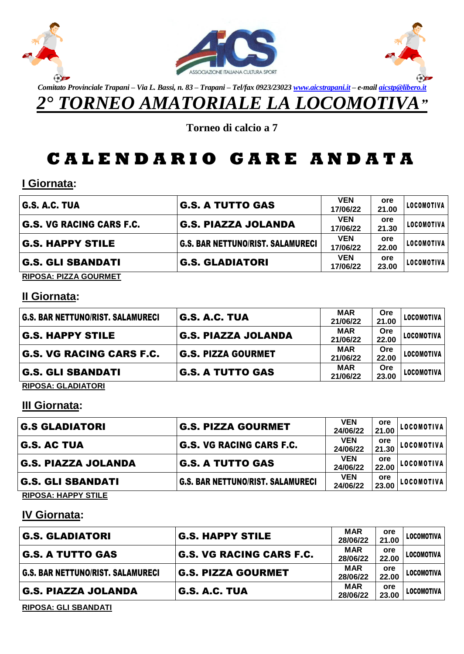



*Comitato Provinciale Trapani – Via L. Bassi, n. 83 – Trapani – Tel/fax 0923/2302[3 www.aicstrapani.it](http://www.aicstrapani.it/) – e-mai[l aicstp@libero.it](mailto:aicstp@libero.it)*

 $\Theta$ 

*2° TORNEO AMATORIALE LA LOCOMOTIVA"*

**Torneo di calcio a 7**

# **C A L E N D A R I O G A R E A N D A T A**

### **I Giornata:**

| G.S. A.C. TUA                   | <b>G.S. A TUTTO GAS</b>           | <b>VEN</b><br>17/06/22 | ore<br>21.00 | LOCOMOTIVA |
|---------------------------------|-----------------------------------|------------------------|--------------|------------|
| <b>G.S. VG RACING CARS F.C.</b> | G.S. PIAZZA JOLANDA               | <b>VEN</b><br>17/06/22 | ore<br>21.30 | LOCOMOTIVA |
| <b>G.S. HAPPY STILE</b>         | G.S. BAR NETTUNO/RIST. SALAMURECI | <b>VEN</b><br>17/06/22 | ore<br>22.00 | LOCOMOTIVA |
| <b>G.S. GLI SBANDATI</b>        | <b>G.S. GLADIATORI</b>            | <b>VEN</b><br>17/06/22 | ore<br>23.00 | LOCOMOTIVA |
| BIBOOA BITTA OOUBMET            |                                   |                        |              |            |

**RIPOSA: PIZZA GOURMET**

#### **II Giornata:**

| <b>G.S. BAR NETTUNO/RIST. SALAMURECI</b> | <b>G.S. A.C. TUA</b>       | <b>MAR</b> | Ore   | <b>LOCOMOTIVA</b> |
|------------------------------------------|----------------------------|------------|-------|-------------------|
|                                          |                            | 21/06/22   | 21.00 |                   |
|                                          | <b>G.S. PIAZZA JOLANDA</b> | <b>MAR</b> | Ore   | <b>LOCOMOTIVA</b> |
| <b>G.S. HAPPY STILE</b>                  |                            | 21/06/22   | 22.00 |                   |
|                                          |                            | <b>MAR</b> | Ore   |                   |
| <b>G.S. VG RACING CARS F.C.</b>          | <b>G.S. PIZZA GOURMET</b>  | 21/06/22   | 22.00 | LOCOMOTIVA        |
|                                          |                            | <b>MAR</b> | Ore   |                   |
| <b>G.S. GLI SBANDATI</b>                 | <b>G.S. A TUTTO GAS</b>    | 21/06/22   | 23.00 | <b>LOCOMOTIVA</b> |
|                                          |                            |            |       |                   |

**RIPOSA: GLADIATORI**

## **III Giornata:**

| <b>G.S GLADIATORI</b>      | <b>G.S. PIZZA GOURMET</b>                | <b>VEN</b><br>24/06/22 | ore<br>21.00        | LOCOMOTIVA |
|----------------------------|------------------------------------------|------------------------|---------------------|------------|
| <b>G.S. AC TUA</b>         | <b>G.S. VG RACING CARS F.C.</b>          | <b>VEN</b><br>24/06/22 | <b>ore</b><br>21.30 | LOCOMOTIVA |
| <b>G.S. PIAZZA JOLANDA</b> | <b>G.S. A TUTTO GAS</b>                  | <b>VEN</b><br>24/06/22 | ore<br>22.00        | LOCOMOTIVA |
| <b>G.S. GLI SBANDATI</b>   | <b>G.S. BAR NETTUNO/RIST. SALAMURECI</b> | <b>VEN</b><br>24/06/22 | ore<br>23.00        | LOCOMOTIVA |

**RIPOSA: HAPPY STILE**

## **IV Giornata:**

| G.S. GLADIATORI                   | <b>G.S. HAPPY STILE</b>         | <b>MAR</b><br>28/06/22 | ore<br>21.00 | LOCOMOTIVA |
|-----------------------------------|---------------------------------|------------------------|--------------|------------|
| G.S. A TUTTO GAS                  | <b>G.S. VG RACING CARS F.C.</b> | <b>MAR</b><br>28/06/22 | ore<br>22.00 | LOCOMOTIVA |
| G.S. BAR NETTUNO/RIST. SALAMURECI | G.S. PIZZA GOURMET              | <b>MAR</b><br>28/06/22 | ore<br>22.00 | LOCOMOTIVA |
| G.S. PIAZZA JOLANDA               | G.S. A.C. TUA                   | <b>MAR</b><br>28/06/22 | ore<br>23.00 | LOCOMOTIVA |

**RIPOSA: GLI SBANDATI**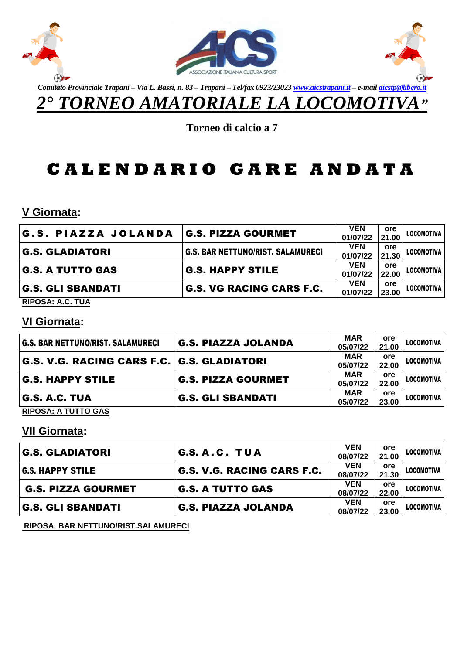



*Comitato Provinciale Trapani – Via L. Bassi, n. 83 – Trapani – Tel/fax 0923/2302[3 www.aicstrapani.it](http://www.aicstrapani.it/) – e-mai[l aicstp@libero.it](mailto:aicstp@libero.it) 2° TORNEO AMATORIALE LA LOCOMOTIVA"*

 $\Theta$ 

**Torneo di calcio a 7**

# **C A L E N D A R I O G A R E A N D A T A**

**V Giornata:**

| <b>G.S. PIAZZA JOLANDA</b> | G.S. PIZZA GOURMET                       | <b>VEN</b><br>01/07/22 | ore<br>21.00 | LOCOMOTIVA        |
|----------------------------|------------------------------------------|------------------------|--------------|-------------------|
| <b>G.S. GLADIATORI</b>     | <b>G.S. BAR NETTUNO/RIST. SALAMURECI</b> | <b>VEN</b><br>01/07/22 | ore<br>21.30 | <b>LOCOMOTIVA</b> |
| <b>G.S. A TUTTO GAS</b>    | <b>G.S. HAPPY STILE</b>                  | <b>VEN</b><br>01/07/22 | ore<br>22.00 | LOCOMOTIVA        |
| <b>G.S. GLI SBANDATI</b>   | <b>G.S. VG RACING CARS F.C.</b>          | <b>VEN</b><br>01/07/22 | ore<br>23.00 | LOCOMOTIVA        |
| DIDOCA: A C TIIA           |                                          |                        |              |                   |

**RIPOSA: A.C. TUA**

### **VI Giornata:**

| <b>G.S. BAR NETTUNO/RIST. SALAMURECI</b> | <b>G.S. PIAZZA JOLANDA</b>                 | <b>MAR</b> | ore   | <b>LOCOMOTIVA</b> |
|------------------------------------------|--------------------------------------------|------------|-------|-------------------|
|                                          |                                            | 05/07/22   | 21.00 |                   |
|                                          | G.S. V.G. RACING CARS F.C. G.S. GLADIATORI | <b>MAR</b> | ore   | LOCOMOTIVA        |
|                                          |                                            | 05/07/22   | 22.00 |                   |
|                                          |                                            | <b>MAR</b> | ore   | LOCOMOTIVA        |
| <b>G.S. HAPPY STILE</b>                  | <b>G.S. PIZZA GOURMET</b>                  | 05/07/22   | 22.00 |                   |
|                                          |                                            | <b>MAR</b> | ore   | LOCOMOTIVA        |
| G.S. A.C. TUA                            | <b>G.S. GLI SBANDATI</b>                   | 05/07/22   | 23.00 |                   |
|                                          |                                            |            |       |                   |

**RIPOSA: A TUTTO GAS**

### **VII Giornata:**

| <b>G.S. GLADIATORI</b>    | G.S.A.C. TUA               | <b>VEN</b><br>08/07/22 | ore<br>21.00 | LOCOMOTIVA |
|---------------------------|----------------------------|------------------------|--------------|------------|
| <b>G.S. HAPPY STILE</b>   | G.S. V.G. RACING CARS F.C. | <b>VEN</b><br>08/07/22 | ore<br>21.30 | LOCOMOTIVA |
| <b>G.S. PIZZA GOURMET</b> | <b>G.S. A TUTTO GAS</b>    | <b>VEN</b><br>08/07/22 | ore<br>22.00 | LOCOMOTIVA |
| G.S. GLI SBANDATI         | <b>G.S. PIAZZA JOLANDA</b> | <b>VEN</b><br>08/07/22 | ore<br>23.00 | LOCOMOTIVA |

**RIPOSA: BAR NETTUNO/RIST.SALAMURECI**